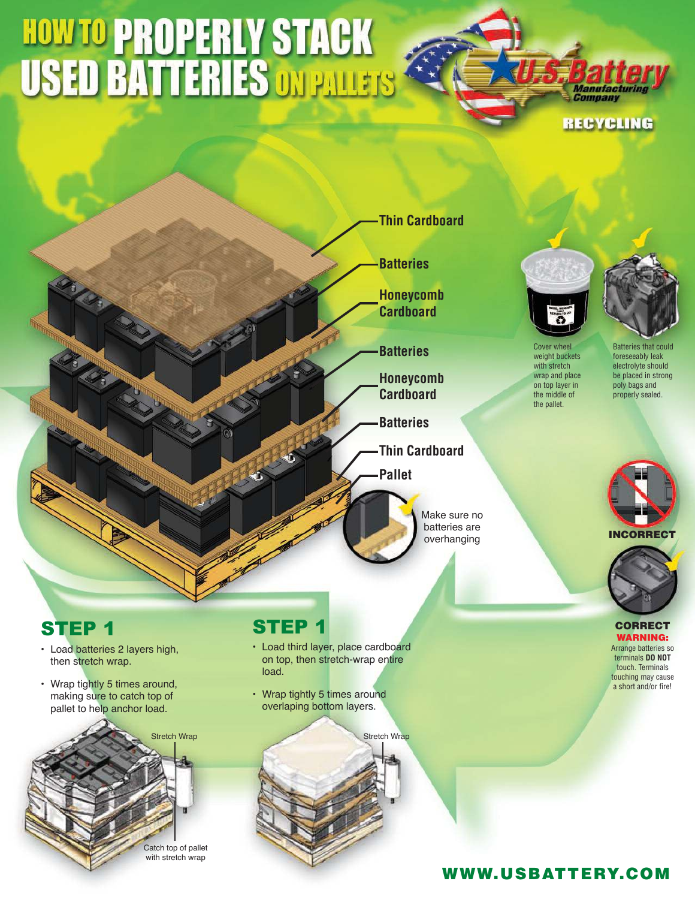# **HOW TO PROPERLY STACK<br>USED BATTERIES ON PALLETS**





batteries are overhanging



weight buckets with stretch wrap and place on top layer in the middle of the pallet.



Batteries that could foreseeably leak electrolyte should be placed in strong poly bags and properly sealed.



**CORRECT** WARNING: Arrange batteries so

terminals **DO NOT** touch. Terminals touching may cause a short and/or fire!

# STEP 1

- Load batteries 2 layers high, then stretch wrap.
- Wrap tightly 5 times around, making sure to catch top of pallet to help anchor load.



# STEP 1

- Load third layer, place cardboard on top, then stretch-wrap entire load.
- Wrap tightly 5 times around overlaping bottom layers.

Stretch Wrap Stretch Wrap Stretch Wrap Stretch Wrap Stretch Wrap Stretch Wrap Stretch Wrap Stretch Wrap Stretch Wrap Stretch Wrap Stretch Wrap Stretch Wrap Stretch Wrap Stretch Wrap Stretch Wrap Stretch Wrap Stretch Wrap S

### WWW.USBATTERY.COM